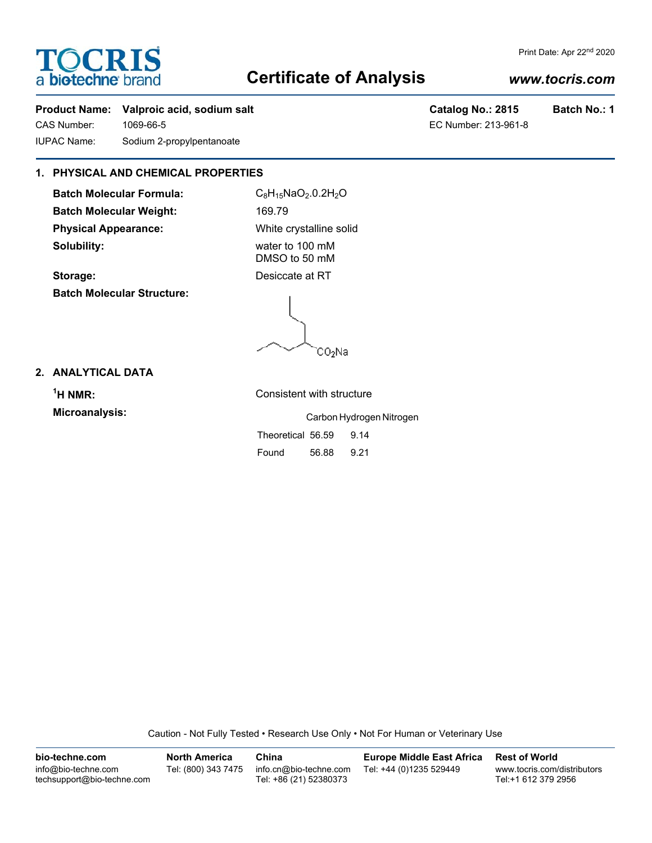# **TOCRIS** a biotechne br

# **Certificate of Analysis**

# *www.tocris.com*

Print Date: Apr 22nd 2020

## Product Name: Valproic acid, sodium salt **Catalog No.: 2815** Batch No.: 1

CAS Number: 1069-66-5 EC Number: 213-961-8 IUPAC Name: Sodium 2-propylpentanoate

# **1. PHYSICAL AND CHEMICAL PROPERTIES**

**Batch Molecular Formula:** C<sub>8</sub>H<sub>15</sub>NaO<sub>2</sub>.0.2H<sub>2</sub>O Batch Molecular Weight: 169.79 **Physical Appearance:** White crystalline solid **Solubility:** water to 100 mM

**Storage:** Desiccate at RT **Batch Molecular Structure:**

DMSO to 50 mM

CO2Na

# **2. ANALYTICAL DATA**

<sup>1</sup>H NMR:

**Consistent with structure Microanalysis:** Carbon Hydrogen Nitrogen

|                   |       | <u>UULUULLIYULUYULLIYIU</u> |
|-------------------|-------|-----------------------------|
| Theoretical 56.59 |       | 9.14                        |
| Found             | 56.88 | 9.21                        |

Caution - Not Fully Tested • Research Use Only • Not For Human or Veterinary Use

**bio-techne.com** info@bio-techne.com techsupport@bio-techne.com **North America** Tel: (800) 343 7475 **China** info.cn@bio-techne.com Tel: +86 (21) 52380373 **Europe Middle East Africa** Tel: +44 (0)1235 529449 **Rest of World** www.tocris.com/distributors Tel:+1 612 379 2956